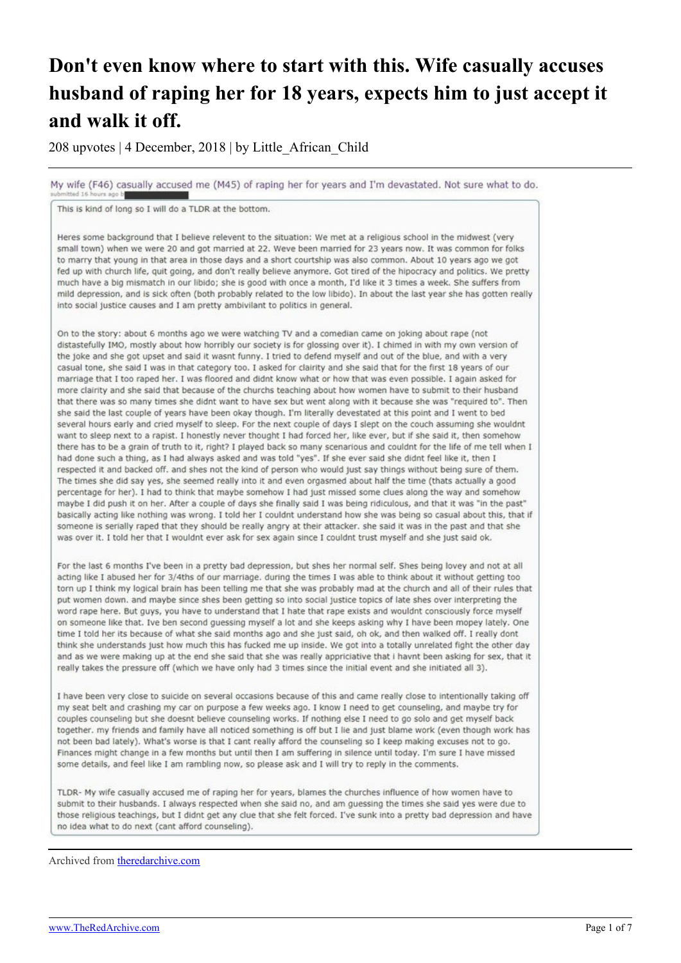## **Don't even know where to start with this. Wife casually accuses husband of raping her for 18 years, expects him to just accept it and walk it off.**

208 upvotes | 4 December, 2018 | by Little\_African\_Child

My wife (F46) casually accused me (M45) of raping her for years and I'm devastated. Not sure what to do.

This is kind of long so I will do a TLDR at the bottom.

Heres some background that I believe relevent to the situation: We met at a religious school in the midwest (very small town) when we were 20 and got married at 22. Weve been married for 23 years now. It was common for folks to marry that young in that area in those days and a short courtship was also common. About 10 years ago we got fed up with church life, quit going, and don't really believe anymore. Got tired of the hipocracy and politics. We pretty much have a big mismatch in our libido; she is good with once a month, I'd like it 3 times a week. She suffers from mild depression, and is sick often (both probably related to the low libido). In about the last year she has gotten really into social justice causes and I am pretty ambivilant to politics in general.

On to the story: about 6 months ago we were watching TV and a comedian came on joking about rape (not distastefully IMO, mostly about how horribly our society is for glossing over it). I chimed in with my own version of the joke and she got upset and said it wasnt funny. I tried to defend myself and out of the blue, and with a very casual tone, she said I was in that category too. I asked for clairity and she said that for the first 18 years of our marriage that I too raped her. I was floored and didnt know what or how that was even possible. I again asked for more clairity and she said that because of the churchs teaching about how women have to submit to their husband that there was so many times she didnt want to have sex but went along with it because she was "required to". Then she said the last couple of years have been okay though. I'm literally devestated at this point and I went to bed several hours early and cried myself to sleep. For the next couple of days I slept on the couch assuming she wouldnt want to sleep next to a rapist. I honestly never thought I had forced her, like ever, but if she said it, then somehow there has to be a grain of truth to it, right? I played back so many scenarious and couldnt for the life of me tell when I had done such a thing, as I had always asked and was told "yes". If she ever said she didnt feel like it, then I respected it and backed off, and shes not the kind of person who would just say things without being sure of them. The times she did say yes, she seemed really into it and even orgasmed about half the time (thats actually a good percentage for her). I had to think that maybe somehow I had just missed some clues along the way and somehow maybe I did push it on her. After a couple of days she finally said I was being ridiculous, and that it was "in the past" basically acting like nothing was wrong. I told her I couldnt understand how she was being so casual about this, that if someone is serially raped that they should be really angry at their attacker. she said it was in the past and that she was over it. I told her that I wouldnt ever ask for sex again since I couldnt trust myself and she just said ok.

For the last 6 months I've been in a pretty bad depression, but shes her normal self. Shes being lovey and not at all acting like I abused her for 3/4ths of our marriage. during the times I was able to think about it without getting too torn up I think my logical brain has been telling me that she was probably mad at the church and all of their rules that put women down. and maybe since shes been getting so into social justice topics of late shes over interpreting the word rape here. But guys, you have to understand that I hate that rape exists and wouldnt consciously force myself on someone like that. Ive ben second guessing myself a lot and she keeps asking why I have been mopey lately. One time I told her its because of what she said months ago and she just said, oh ok, and then walked off. I really dont think she understands just how much this has fucked me up inside. We got into a totally unrelated fight the other day and as we were making up at the end she said that she was really appriciative that i havnt been asking for sex, that it really takes the pressure off (which we have only had 3 times since the initial event and she initiated all 3).

I have been very close to suicide on several occasions because of this and came really close to intentionally taking off my seat belt and crashing my car on purpose a few weeks ago. I know I need to get counseling, and maybe try for couples counseling but she doesnt believe counseling works. If nothing else I need to go solo and get myself back together. my friends and family have all noticed something is off but I lie and just blame work (even though work has not been bad lately). What's worse is that I cant really afford the counseling so I keep making excuses not to go. Finances might change in a few months but until then I am suffering in silence until today. I'm sure I have missed some details, and feel like I am rambling now, so please ask and I will try to reply in the comments.

TLDR- My wife casually accused me of raping her for years, blames the churches influence of how women have to submit to their husbands. I always respected when she said no, and am guessing the times she said yes were due to those religious teachings, but I didnt get any clue that she felt forced. I've sunk into a pretty bad depression and have no idea what to do next (cant afford counseling).

Archived from [theredarchive.com](https://theredarchive.com/r/MGTOW/dont-even-know-where-to-start-with-this-wife.448501)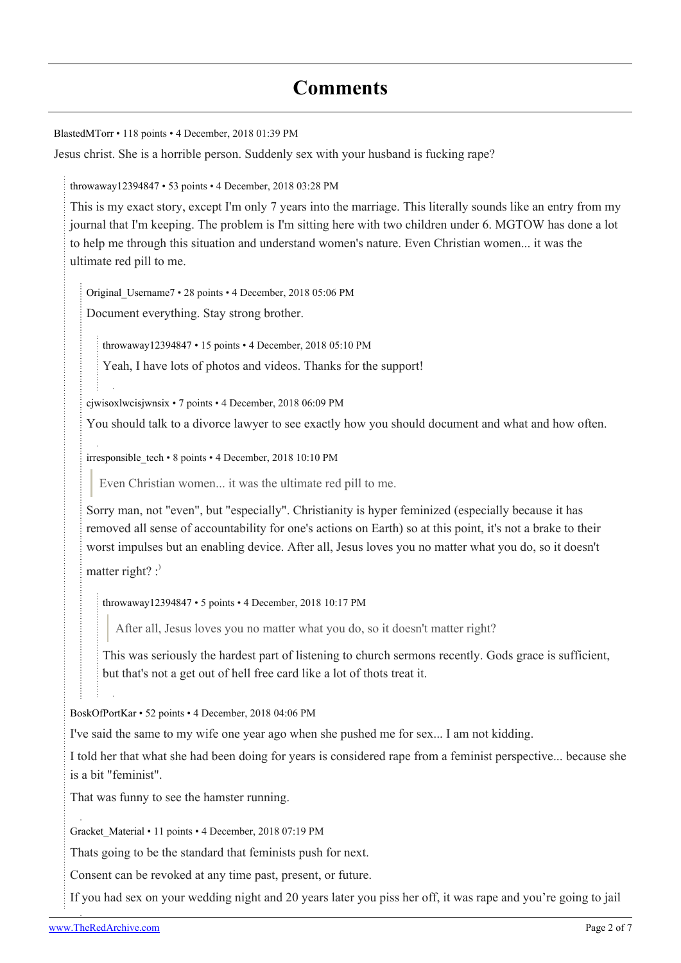## **Comments**

[BlastedMTorr](https://old.reddit.com/user/BlastedMTorr) • 118 points • 4 December, 2018 01:39 PM

Jesus christ. She is a horrible person. Suddenly sex with your husband is fucking rape?

[throwaway12394847](https://old.reddit.com/user/throwaway12394847) • 53 points • 4 December, 2018 03:28 PM

This is my exact story, except I'm only 7 years into the marriage. This literally sounds like an entry from my journal that I'm keeping. The problem is I'm sitting here with two children under 6. MGTOW has done a lot to help me through this situation and understand women's nature. Even Christian women... it was the ultimate red pill to me.

[Original\\_Username7](https://old.reddit.com/user/Original_Username7) • 28 points • 4 December, 2018 05:06 PM

Document everything. Stay strong brother.

[throwaway12394847](https://old.reddit.com/user/throwaway12394847) • 15 points • 4 December, 2018 05:10 PM

Yeah, I have lots of photos and videos. Thanks for the support!

[cjwisoxlwcisjwnsix](https://old.reddit.com/user/cjwisoxlwcisjwnsix) • 7 points • 4 December, 2018 06:09 PM

You should talk to a divorce lawyer to see exactly how you should document and what and how often.

[irresponsible\\_tech](https://old.reddit.com/user/irresponsible_tech) • 8 points • 4 December, 2018 10:10 PM

Even Christian women... it was the ultimate red pill to me.

Sorry man, not "even", but "especially". Christianity is hyper feminized (especially because it has removed all sense of accountability for one's actions on Earth) so at this point, it's not a brake to their worst impulses but an enabling device. After all, Jesus loves you no matter what you do, so it doesn't

matter right?  $:$ 

[throwaway12394847](https://old.reddit.com/user/throwaway12394847) • 5 points • 4 December, 2018 10:17 PM

After all, Jesus loves you no matter what you do, so it doesn't matter right?

This was seriously the hardest part of listening to church sermons recently. Gods grace is sufficient, but that's not a get out of hell free card like a lot of thots treat it.

[BoskOfPortKar](https://old.reddit.com/user/BoskOfPortKar) • 52 points • 4 December, 2018 04:06 PM

I've said the same to my wife one year ago when she pushed me for sex... I am not kidding.

I told her that what she had been doing for years is considered rape from a feminist perspective... because she is a bit "feminist".

That was funny to see the hamster running.

[Gracket\\_Material](https://old.reddit.com/user/Gracket_Material) • 11 points • 4 December, 2018 07:19 PM

Thats going to be the standard that feminists push for next.

Consent can be revoked at any time past, present, or future.

If you had sex on your wedding night and 20 years later you piss her off, it was rape and you're going to jail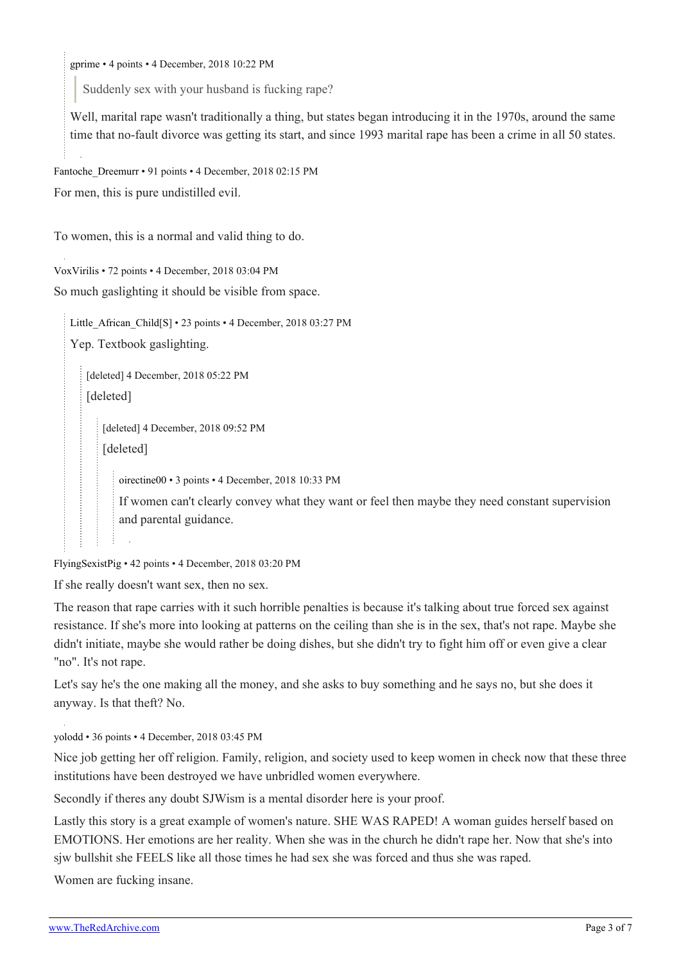[gprime](https://old.reddit.com/user/gprime) • 4 points • 4 December, 2018 10:22 PM

Suddenly sex with your husband is fucking rape?

Well, marital rape wasn't traditionally a thing, but states began introducing it in the 1970s, around the same time that no-fault divorce was getting its start, and since 1993 marital rape has been a crime in all 50 states.

```
Fantoche_Dreemurr • 91 points • 4 December, 2018 02:15 PM
For men, this is pure undistilled evil.
```
To women, this is a normal and valid thing to do.

[VoxVirilis](https://old.reddit.com/user/VoxVirilis) • 72 points • 4 December, 2018 03:04 PM

So much gaslighting it should be visible from space.

Little African Child[\[S\]](https://theredarchive.com/r/MGTOW/comments/a30blj/dont_even_know_where_to_start_with_this_wife/) • 23 points • 4 December, 2018 03:27 PM

Yep. Textbook gaslighting.

[deleted] 4 December, 2018 05:22 PM [deleted]

[deleted] 4 December, 2018 09:52 PM

[deleted]

[oirectine00](https://old.reddit.com/user/oirectine00) • 3 points • 4 December, 2018 10:33 PM

If women can't clearly convey what they want or feel then maybe they need constant supervision and parental guidance.

[FlyingSexistPig](https://old.reddit.com/user/FlyingSexistPig) • 42 points • 4 December, 2018 03:20 PM

If she really doesn't want sex, then no sex.

The reason that rape carries with it such horrible penalties is because it's talking about true forced sex against resistance. If she's more into looking at patterns on the ceiling than she is in the sex, that's not rape. Maybe she didn't initiate, maybe she would rather be doing dishes, but she didn't try to fight him off or even give a clear "no". It's not rape.

Let's say he's the one making all the money, and she asks to buy something and he says no, but she does it anyway. Is that theft? No.

[yolodd](https://old.reddit.com/user/yolodd) • 36 points • 4 December, 2018 03:45 PM

Nice job getting her off religion. Family, religion, and society used to keep women in check now that these three institutions have been destroyed we have unbridled women everywhere.

Secondly if theres any doubt SJWism is a mental disorder here is your proof.

Lastly this story is a great example of women's nature. SHE WAS RAPED! A woman guides herself based on EMOTIONS. Her emotions are her reality. When she was in the church he didn't rape her. Now that she's into sjw bullshit she FEELS like all those times he had sex she was forced and thus she was raped.

Women are fucking insane.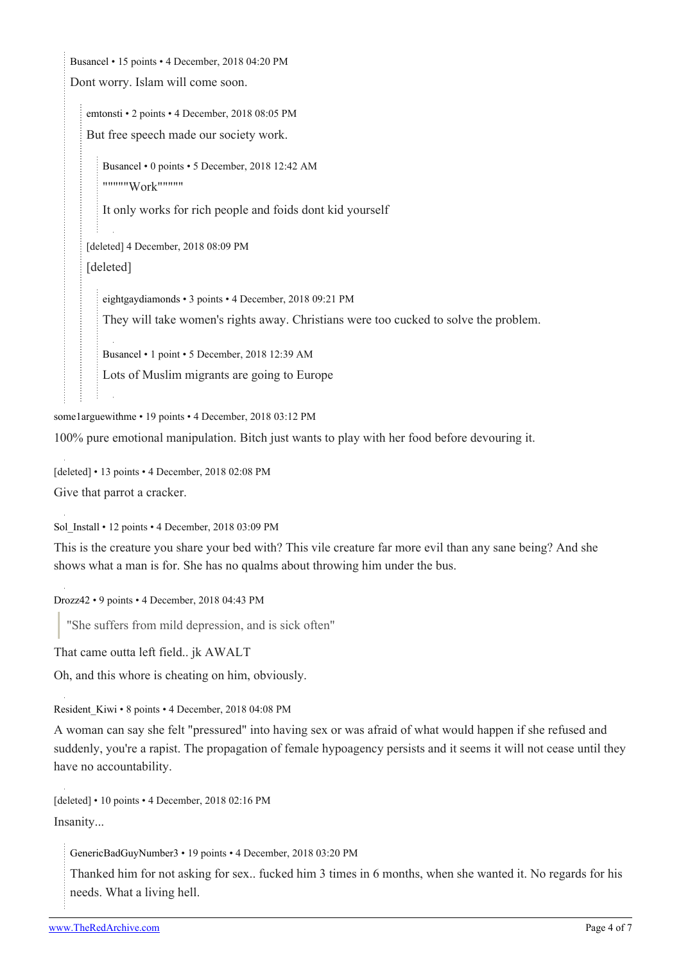[Busancel](https://old.reddit.com/user/Busancel) • 15 points • 4 December, 2018 04:20 PM

Dont worry. Islam will come soon.

[emtonsti](https://old.reddit.com/user/emtonsti) • 2 points • 4 December, 2018 08:05 PM But free speech made our society work.

[Busancel](https://old.reddit.com/user/Busancel) • 0 points • 5 December, 2018 12:42 AM """""Work"""""

It only works for rich people and foids dont kid yourself

[deleted] 4 December, 2018 08:09 PM [deleted]

[eightgaydiamonds](https://old.reddit.com/user/eightgaydiamonds) • 3 points • 4 December, 2018 09:21 PM They will take women's rights away. Christians were too cucked to solve the problem.

[Busancel](https://old.reddit.com/user/Busancel) • 1 point • 5 December, 2018 12:39 AM

Lots of Muslim migrants are going to Europe

[some1arguewithme](https://old.reddit.com/user/some1arguewithme) • 19 points • 4 December, 2018 03:12 PM

100% pure emotional manipulation. Bitch just wants to play with her food before devouring it.

[deleted] • 13 points • 4 December, 2018 02:08 PM Give that parrot a cracker.

[Sol\\_Install](https://old.reddit.com/user/Sol_Install) • 12 points • 4 December, 2018 03:09 PM

This is the creature you share your bed with? This vile creature far more evil than any sane being? And she shows what a man is for. She has no qualms about throwing him under the bus.

[Drozz42](https://old.reddit.com/user/Drozz42) • 9 points • 4 December, 2018 04:43 PM

"She suffers from mild depression, and is sick often"

That came outta left field.. jk AWALT

Oh, and this whore is cheating on him, obviously.

[Resident\\_Kiwi](https://old.reddit.com/user/Resident_Kiwi) • 8 points • 4 December, 2018 04:08 PM

A woman can say she felt "pressured" into having sex or was afraid of what would happen if she refused and suddenly, you're a rapist. The propagation of female hypoagency persists and it seems it will not cease until they have no accountability.

[deleted] • 10 points • 4 December, 2018 02:16 PM Insanity...

[GenericBadGuyNumber3](https://old.reddit.com/user/GenericBadGuyNumber3) • 19 points • 4 December, 2018 03:20 PM

Thanked him for not asking for sex.. fucked him 3 times in 6 months, when she wanted it. No regards for his needs. What a living hell.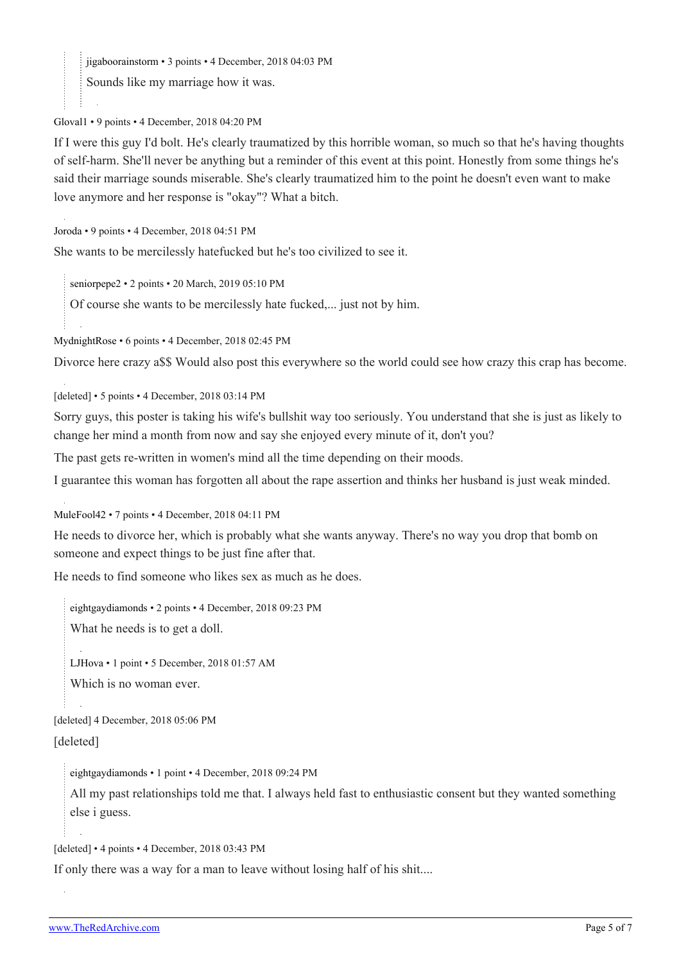[jigaboorainstorm](https://old.reddit.com/user/jigaboorainstorm) • 3 points • 4 December, 2018 04:03 PM

Sounds like my marriage how it was.

[Gloval1](https://old.reddit.com/user/Gloval1) • 9 points • 4 December, 2018 04:20 PM

If I were this guy I'd bolt. He's clearly traumatized by this horrible woman, so much so that he's having thoughts of self-harm. She'll never be anything but a reminder of this event at this point. Honestly from some things he's said their marriage sounds miserable. She's clearly traumatized him to the point he doesn't even want to make love anymore and her response is "okay"? What a bitch.

[Joroda](https://old.reddit.com/user/Joroda) • 9 points • 4 December, 2018 04:51 PM

She wants to be mercilessly hatefucked but he's too civilized to see it.

[seniorpepe2](https://old.reddit.com/user/seniorpepe2) • 2 points • 20 March, 2019 05:10 PM

Of course she wants to be mercilessly hate fucked,... just not by him.

[MydnightRose](https://old.reddit.com/user/MydnightRose) • 6 points • 4 December, 2018 02:45 PM

Divorce here crazy a\$\$ Would also post this everywhere so the world could see how crazy this crap has become.

[deleted] • 5 points • 4 December, 2018 03:14 PM

Sorry guys, this poster is taking his wife's bullshit way too seriously. You understand that she is just as likely to change her mind a month from now and say she enjoyed every minute of it, don't you?

The past gets re-written in women's mind all the time depending on their moods.

I guarantee this woman has forgotten all about the rape assertion and thinks her husband is just weak minded.

[MuleFool42](https://old.reddit.com/user/MuleFool42) • 7 points • 4 December, 2018 04:11 PM

He needs to divorce her, which is probably what she wants anyway. There's no way you drop that bomb on someone and expect things to be just fine after that.

He needs to find someone who likes sex as much as he does.

[eightgaydiamonds](https://old.reddit.com/user/eightgaydiamonds) • 2 points • 4 December, 2018 09:23 PM

What he needs is to get a doll.

[LJHova](https://old.reddit.com/user/LJHova) • 1 point • 5 December, 2018 01:57 AM

Which is no woman ever.

[deleted] 4 December, 2018 05:06 PM

[deleted]

[eightgaydiamonds](https://old.reddit.com/user/eightgaydiamonds) • 1 point • 4 December, 2018 09:24 PM

All my past relationships told me that. I always held fast to enthusiastic consent but they wanted something else i guess.

[deleted] • 4 points • 4 December, 2018 03:43 PM

If only there was a way for a man to leave without losing half of his shit....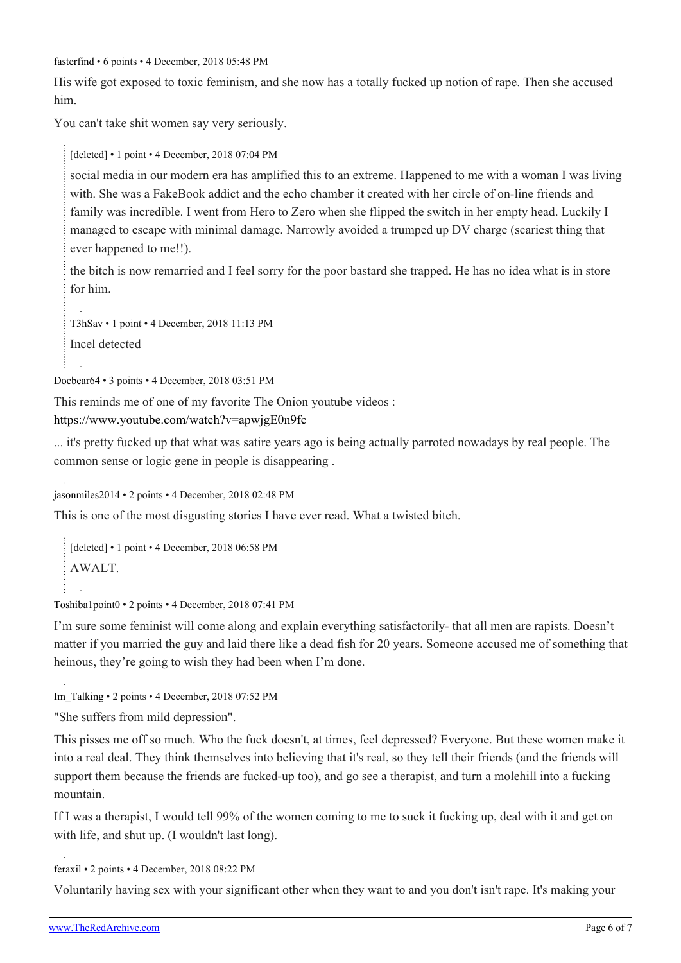[fasterfind](https://old.reddit.com/user/fasterfind) • 6 points • 4 December, 2018 05:48 PM

His wife got exposed to toxic feminism, and she now has a totally fucked up notion of rape. Then she accused him.

You can't take shit women say very seriously.

[deleted] • 1 point • 4 December, 2018 07:04 PM

social media in our modern era has amplified this to an extreme. Happened to me with a woman I was living with. She was a FakeBook addict and the echo chamber it created with her circle of on-line friends and family was incredible. I went from Hero to Zero when she flipped the switch in her empty head. Luckily I managed to escape with minimal damage. Narrowly avoided a trumped up DV charge (scariest thing that ever happened to me!!).

the bitch is now remarried and I feel sorry for the poor bastard she trapped. He has no idea what is in store for him.

[T3hSav](https://old.reddit.com/user/T3hSav) • 1 point • 4 December, 2018 11:13 PM Incel detected

```
Docbear64 • 3 points • 4 December, 2018 03:51 PM
```
This reminds me of one of my favorite The Onion youtube videos : <https://www.youtube.com/watch?v=apwjgE0n9fc>

... it's pretty fucked up that what was satire years ago is being actually parroted nowadays by real people. The common sense or logic gene in people is disappearing .

[jasonmiles2014](https://old.reddit.com/user/jasonmiles2014) • 2 points • 4 December, 2018 02:48 PM

This is one of the most disgusting stories I have ever read. What a twisted bitch.

[deleted] • 1 point • 4 December, 2018 06:58 PM AWALT.

[Toshiba1point0](https://old.reddit.com/user/Toshiba1point0) • 2 points • 4 December, 2018 07:41 PM

I'm sure some feminist will come along and explain everything satisfactorily- that all men are rapists. Doesn't matter if you married the guy and laid there like a dead fish for 20 years. Someone accused me of something that heinous, they're going to wish they had been when I'm done.

[Im\\_Talking](https://old.reddit.com/user/Im_Talking) • 2 points • 4 December, 2018 07:52 PM

"She suffers from mild depression".

This pisses me off so much. Who the fuck doesn't, at times, feel depressed? Everyone. But these women make it into a real deal. They think themselves into believing that it's real, so they tell their friends (and the friends will support them because the friends are fucked-up too), and go see a therapist, and turn a molehill into a fucking mountain.

If I was a therapist, I would tell 99% of the women coming to me to suck it fucking up, deal with it and get on with life, and shut up. (I wouldn't last long).

[feraxil](https://old.reddit.com/user/feraxil) • 2 points • 4 December, 2018 08:22 PM

Voluntarily having sex with your significant other when they want to and you don't isn't rape. It's making your